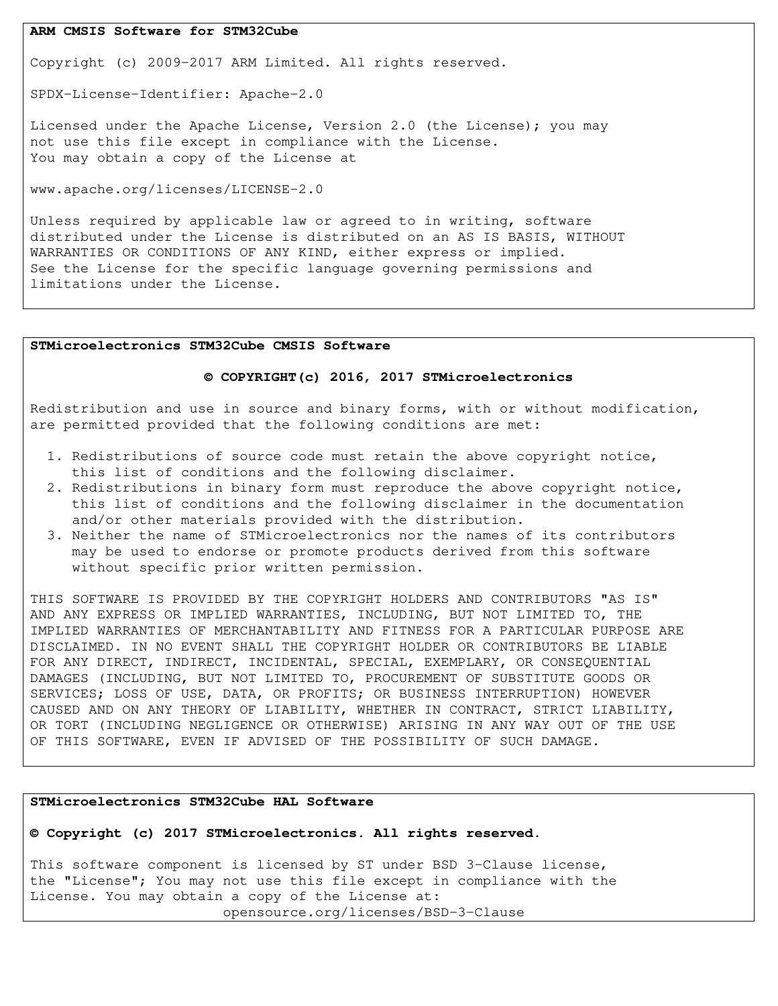### **ARM CMSIS Software for STM32Cube**

Copyright (c) 2009-2017 ARM Limited. All rights reserved.

SPDX-License-Identifier: Apache-2.0

Licensed under the Apache License, Version 2.0 (the License); you may not use this file except in compliance with the License. You may obtain a copy of the License at

www.apache.org/licenses/LICENSE-2.0

Unless required by applicable law or agreed to in writing, software distributed under the License is distributed on an AS IS BASIS, WITHOUT WARRANTIES OR CONDITIONS OF ANY KIND, either express or implied. See the License for the specific language governing permissions and limitations under the License.

#### **STMicroelectronics STM32Cube CMSIS Software**

## **© COPYRIGHT(c) 2016, 2017 STMicroelectronics**

Redistribution and use in source and binary forms, with or without modification, are permitted provided that the following conditions are met:

- 1. Redistributions of source code must retain the above copyright notice, this list of conditions and the following disclaimer.
- 2. Redistributions in binary form must reproduce the above copyright notice, this list of conditions and the following disclaimer in the documentation and/or other materials provided with the distribution.
- 3. Neither the name of STMicroelectronics nor the names of its contributors may be used to endorse or promote products derived from this software without specific prior written permission.

THIS SOFTWARE IS PROVIDED BY THE COPYRIGHT HOLDERS AND CONTRIBUTORS "AS IS" AND ANY EXPRESS OR IMPLIED WARRANTIES, INCLUDING, BUT NOT LIMITED TO, THE IMPLIED WARRANTIES OF MERCHANTABILITY AND FITNESS FOR A PARTICULAR PURPOSE ARE DISCLAIMED. IN NO EVENT SHALL THE COPYRIGHT HOLDER OR CONTRIBUTORS BE LIABLE FOR ANY DIRECT, INDIRECT, INCIDENTAL, SPECIAL, EXEMPLARY, OR CONSEQUENTIAL DAMAGES (INCLUDING, BUT NOT LIMITED TO, PROCUREMENT OF SUBSTITUTE GOODS OR SERVICES; LOSS OF USE, DATA, OR PROFITS; OR BUSINESS INTERRUPTION) HOWEVER CAUSED AND ON ANY THEORY OF LIABILITY, WHETHER IN CONTRACT, STRICT LIABILITY, OR TORT (INCLUDING NEGLIGENCE OR OTHERWISE) ARISING IN ANY WAY OUT OF THE USE OF THIS SOFTWARE, EVEN IF ADVISED OF THE POSSIBILITY OF SUCH DAMAGE.

### **STMicroelectronics STM32Cube HAL Software**

### **© Copyright (c) 2017 STMicroelectronics. All rights reserved.**

This software component is licensed by ST under BSD 3-Clause license, the "License"; You may not use this file except in compliance with the License. You may obtain a copy of the License at: opensource.org/licenses/BSD-3-Clause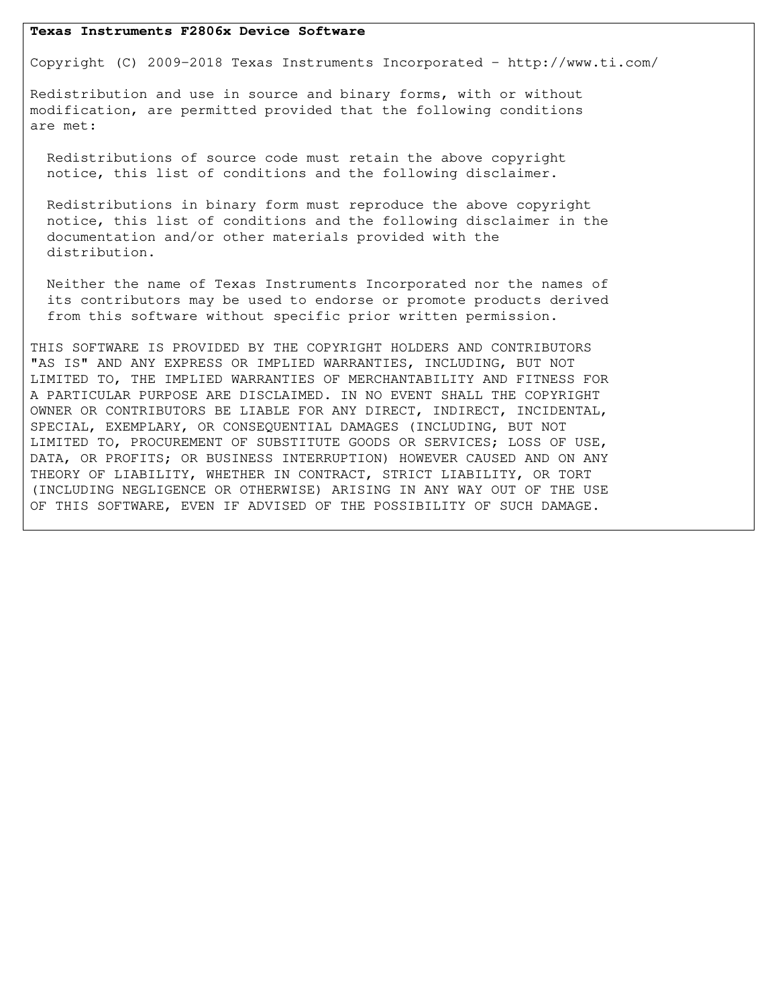### **Texas Instruments F2806x Device Software**

Copyright (C) 2009-2018 Texas Instruments Incorporated - http://www.ti.com/

Redistribution and use in source and binary forms, with or without modification, are permitted provided that the following conditions are met:

 Redistributions of source code must retain the above copyright notice, this list of conditions and the following disclaimer.

 Redistributions in binary form must reproduce the above copyright notice, this list of conditions and the following disclaimer in the documentation and/or other materials provided with the distribution.

 Neither the name of Texas Instruments Incorporated nor the names of its contributors may be used to endorse or promote products derived from this software without specific prior written permission.

THIS SOFTWARE IS PROVIDED BY THE COPYRIGHT HOLDERS AND CONTRIBUTORS "AS IS" AND ANY EXPRESS OR IMPLIED WARRANTIES, INCLUDING, BUT NOT LIMITED TO, THE IMPLIED WARRANTIES OF MERCHANTABILITY AND FITNESS FOR A PARTICULAR PURPOSE ARE DISCLAIMED. IN NO EVENT SHALL THE COPYRIGHT OWNER OR CONTRIBUTORS BE LIABLE FOR ANY DIRECT, INDIRECT, INCIDENTAL, SPECIAL, EXEMPLARY, OR CONSEQUENTIAL DAMAGES (INCLUDING, BUT NOT LIMITED TO, PROCUREMENT OF SUBSTITUTE GOODS OR SERVICES; LOSS OF USE, DATA, OR PROFITS; OR BUSINESS INTERRUPTION) HOWEVER CAUSED AND ON ANY THEORY OF LIABILITY, WHETHER IN CONTRACT, STRICT LIABILITY, OR TORT (INCLUDING NEGLIGENCE OR OTHERWISE) ARISING IN ANY WAY OUT OF THE USE OF THIS SOFTWARE, EVEN IF ADVISED OF THE POSSIBILITY OF SUCH DAMAGE.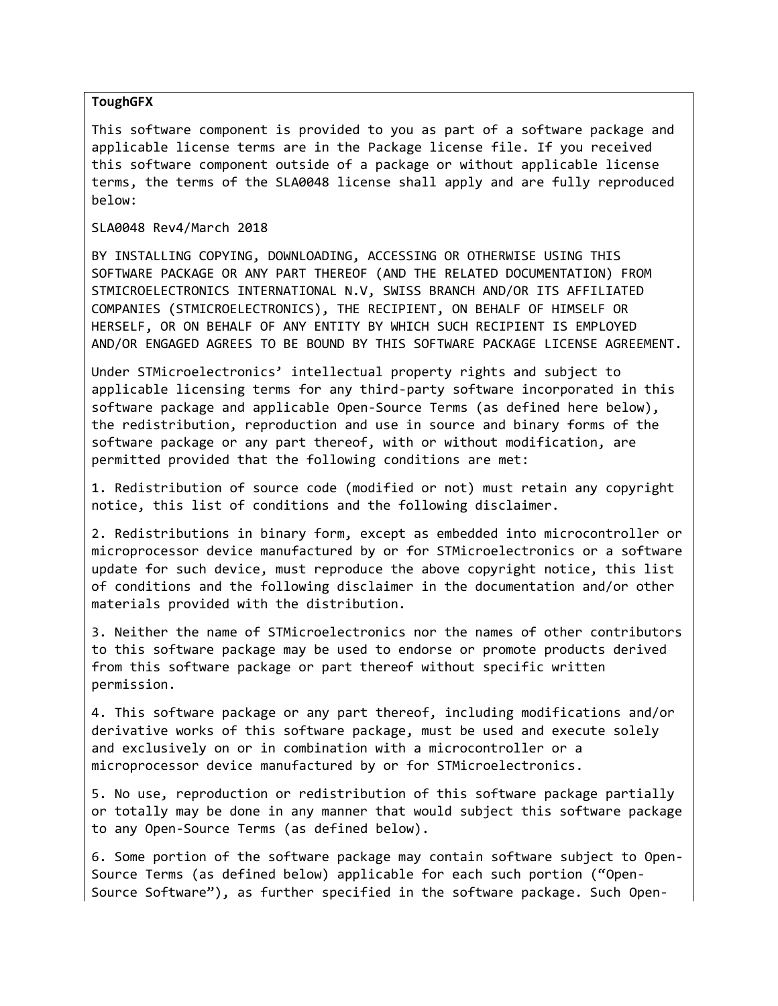# **ToughGFX**

This software component is provided to you as part of a software package and applicable license terms are in the Package license file. If you received this software component outside of a package or without applicable license terms, the terms of the SLA0048 license shall apply and are fully reproduced below:

SLA0048 Rev4/March 2018

BY INSTALLING COPYING, DOWNLOADING, ACCESSING OR OTHERWISE USING THIS SOFTWARE PACKAGE OR ANY PART THEREOF (AND THE RELATED DOCUMENTATION) FROM STMICROELECTRONICS INTERNATIONAL N.V, SWISS BRANCH AND/OR ITS AFFILIATED COMPANIES (STMICROELECTRONICS), THE RECIPIENT, ON BEHALF OF HIMSELF OR HERSELF, OR ON BEHALF OF ANY ENTITY BY WHICH SUCH RECIPIENT IS EMPLOYED AND/OR ENGAGED AGREES TO BE BOUND BY THIS SOFTWARE PACKAGE LICENSE AGREEMENT.

Under STMicroelectronics' intellectual property rights and subject to applicable licensing terms for any third-party software incorporated in this software package and applicable Open-Source Terms (as defined here below), the redistribution, reproduction and use in source and binary forms of the software package or any part thereof, with or without modification, are permitted provided that the following conditions are met:

1. Redistribution of source code (modified or not) must retain any copyright notice, this list of conditions and the following disclaimer.

2. Redistributions in binary form, except as embedded into microcontroller or microprocessor device manufactured by or for STMicroelectronics or a software update for such device, must reproduce the above copyright notice, this list of conditions and the following disclaimer in the documentation and/or other materials provided with the distribution.

3. Neither the name of STMicroelectronics nor the names of other contributors to this software package may be used to endorse or promote products derived from this software package or part thereof without specific written permission.

4. This software package or any part thereof, including modifications and/or derivative works of this software package, must be used and execute solely and exclusively on or in combination with a microcontroller or a microprocessor device manufactured by or for STMicroelectronics.

5. No use, reproduction or redistribution of this software package partially or totally may be done in any manner that would subject this software package to any Open-Source Terms (as defined below).

6. Some portion of the software package may contain software subject to Open-Source Terms (as defined below) applicable for each such portion ("Open-Source Software"), as further specified in the software package. Such Open-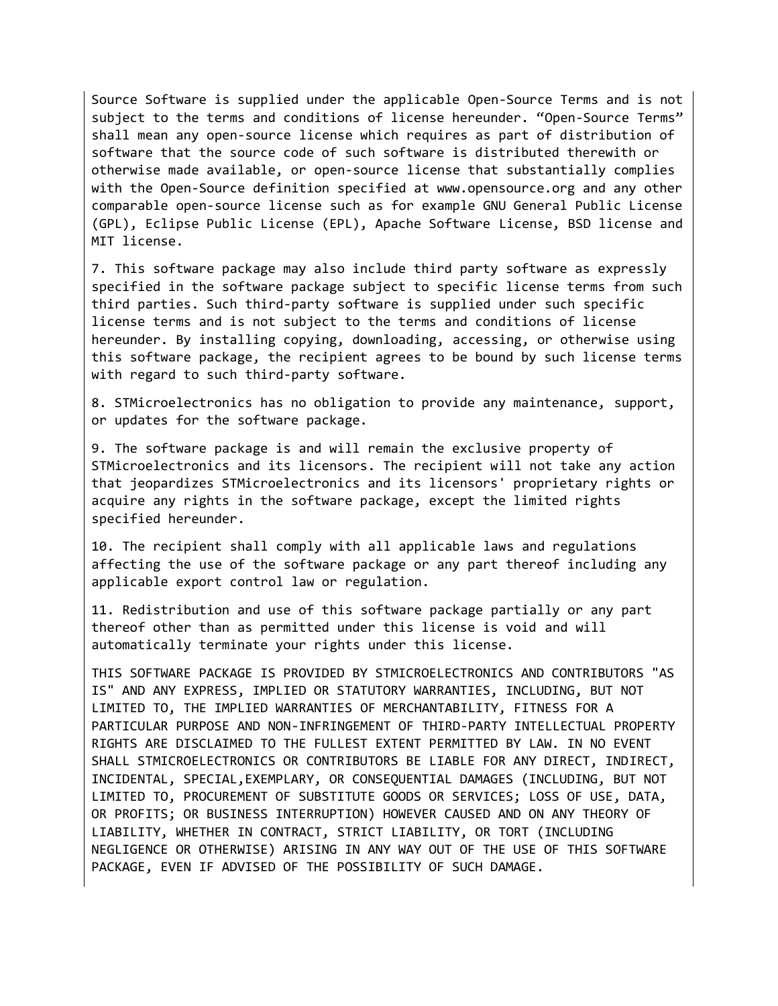Source Software is supplied under the applicable Open-Source Terms and is not subject to the terms and conditions of license hereunder. "Open-Source Terms" shall mean any open-source license which requires as part of distribution of software that the source code of such software is distributed therewith or otherwise made available, or open-source license that substantially complies with the Open-Source definition specified at www.opensource.org and any other comparable open-source license such as for example GNU General Public License (GPL), Eclipse Public License (EPL), Apache Software License, BSD license and MIT license.

7. This software package may also include third party software as expressly specified in the software package subject to specific license terms from such third parties. Such third-party software is supplied under such specific license terms and is not subject to the terms and conditions of license hereunder. By installing copying, downloading, accessing, or otherwise using this software package, the recipient agrees to be bound by such license terms with regard to such third-party software.

8. STMicroelectronics has no obligation to provide any maintenance, support, or updates for the software package.

9. The software package is and will remain the exclusive property of STMicroelectronics and its licensors. The recipient will not take any action that jeopardizes STMicroelectronics and its licensors' proprietary rights or acquire any rights in the software package, except the limited rights specified hereunder.

10. The recipient shall comply with all applicable laws and regulations affecting the use of the software package or any part thereof including any applicable export control law or regulation.

11. Redistribution and use of this software package partially or any part thereof other than as permitted under this license is void and will automatically terminate your rights under this license.

THIS SOFTWARE PACKAGE IS PROVIDED BY STMICROELECTRONICS AND CONTRIBUTORS "AS IS" AND ANY EXPRESS, IMPLIED OR STATUTORY WARRANTIES, INCLUDING, BUT NOT LIMITED TO, THE IMPLIED WARRANTIES OF MERCHANTABILITY, FITNESS FOR A PARTICULAR PURPOSE AND NON-INFRINGEMENT OF THIRD-PARTY INTELLECTUAL PROPERTY RIGHTS ARE DISCLAIMED TO THE FULLEST EXTENT PERMITTED BY LAW. IN NO EVENT SHALL STMICROELECTRONICS OR CONTRIBUTORS BE LIABLE FOR ANY DIRECT, INDIRECT, INCIDENTAL, SPECIAL,EXEMPLARY, OR CONSEQUENTIAL DAMAGES (INCLUDING, BUT NOT LIMITED TO, PROCUREMENT OF SUBSTITUTE GOODS OR SERVICES; LOSS OF USE, DATA, OR PROFITS; OR BUSINESS INTERRUPTION) HOWEVER CAUSED AND ON ANY THEORY OF LIABILITY, WHETHER IN CONTRACT, STRICT LIABILITY, OR TORT (INCLUDING NEGLIGENCE OR OTHERWISE) ARISING IN ANY WAY OUT OF THE USE OF THIS SOFTWARE PACKAGE, EVEN IF ADVISED OF THE POSSIBILITY OF SUCH DAMAGE.